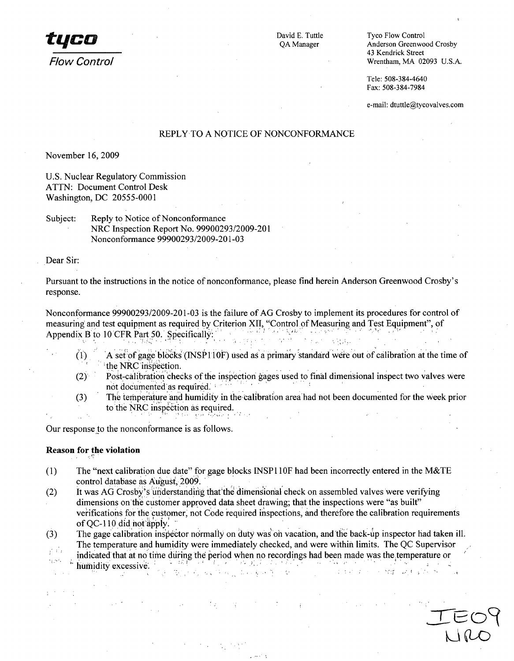

**1960 CONTROVIDER SECUTE:** David E. Tuttle Tyco Flow Control **Tyco Flow Control (2)** 43 Kendrick Street *Flow Control* Wrentham, MA 02093 U.S.A.

> Tele: 508-384-4640 Fax: 508-384-7984

e-mail: dtuttle@tycovalves.com

# REPLY TO A NOTICE OF NONCONFORMANCE

November 16, 2009

U.S. Nuclear Regulatory Commission ATTN: Document Control Desk Washington, DC 20555-0001

Subject: Reply to Notice of Nonconformance NRC Inspection Report No. 99900293/2009-201 Nonconformance 99900293/2009-201-03

Dear Sir:

Pursuant to the instructions in the notice of nonconformance; please find herein Anderson Greenwood Crosby's response.

Nonconformance 99900293/2009-201-03 is the failure of AG Crosby to implement its procedures for control of measuring and test equipment as required by Criterion XII, "Control of Measuring and Test Equipment", of Appendix B to 10 CFR Part 50. Specifically:

- $(1)$  A set of gage blocks (INSP110F) used as a primary standard were out of calibration at the time of the NRC inspection.
- (2) Post-calibration checks of the inspection gages used to final dimensional inspect two valves Were not documented as required.
- (3) The tempe'rature'and humidity in the-calibration area'had not been documented for the Week prior to the NRC inspection as required.

Our response to the nonconformance is as follows.

### **Reason for the violation**

- (1) The "next calibration due date" for gage blocks INSP110F had been incorrectly entered in the M&TE control database as August, 2009.
- (2) It was AG Crosby's understanding that the dimensional check on assembled valves were verifying dimensions on the customer approved data sheet drawing; that the inspections were "as built" verifications for the customer, not Code required inspections, and therefore the calibration requirements of  $QC-110$  did not apply.

(3) The gage calibration inspector normally on duty was on vacation, and the back-up inspector had taken ill. The temperature and humidity were immediately checked, and were within limits. The QC Supervisor  $\mathcal{E}^{(1)}$ 

 $\mathbb{P}^2$  is the contract of the contract of the contract of the contract of the contract of the contract of the contract of  $\mathbb{P}^2$ 

 $k \sqrt{a}$ 

indicated that at no time diriing the period when no recordings had been made was the temperature or vý se humidity excessive.  $\mathbb{Q}_{\geq 0}$  $\frac{1}{2\pi} \sqrt{1-\frac{1}{2}} \sqrt{1-\frac{1}{2}\sqrt{1-\frac{1}{2}}}.$ nder som bla -63